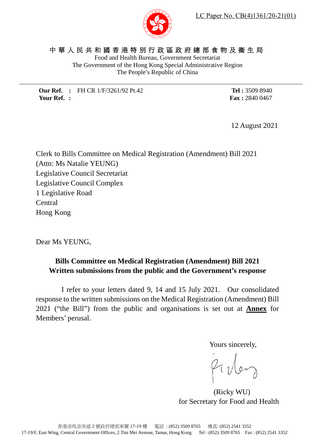

## 中華人民共和國香港特別行政區政府總部食物及衞生局

Food and Health Bureau, Government Secretariat The Government of the Hong Kong Special Administrative Region The People's Republic of China

**Our Ref. :** FH CR 1/F/3261/92 Pt.42 **Your Ref. :**

**Tel :** 3509 8940 **Fax :** 2840 0467

12 August 2021

Clerk to Bills Committee on Medical Registration (Amendment) Bill 2021 (Attn: Ms Natalie YEUNG) Legislative Council Secretariat Legislative Council Complex 1 Legislative Road Central Hong Kong

Dear Ms YEUNG,

### **Bills Committee on Medical Registration (Amendment) Bill 2021 Written submissions from the public and the Government's response**

I refer to your letters dated 9, 14 and 15 July 2021. Our consolidated response to the written submissions on the Medical Registration (Amendment) Bill 2021 ("the Bill") from the public and organisations is set out at **Annex** for Members' perusal.

Yours sincerely,

(Ricky WU) for Secretary for Food and Health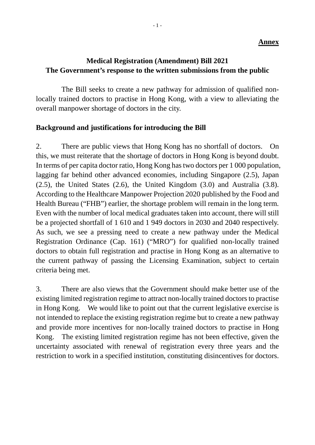#### **Annex**

## **Medical Registration (Amendment) Bill 2021 The Government's response to the written submissions from the public**

The Bill seeks to create a new pathway for admission of qualified nonlocally trained doctors to practise in Hong Kong, with a view to alleviating the overall manpower shortage of doctors in the city.

### **Background and justifications for introducing the Bill**

2. There are public views that Hong Kong has no shortfall of doctors. On this, we must reiterate that the shortage of doctors in Hong Kong is beyond doubt. In terms of per capita doctor ratio, Hong Kong has two doctors per 1 000 population, lagging far behind other advanced economies, including Singapore (2.5), Japan (2.5), the United States (2.6), the United Kingdom (3.0) and Australia (3.8). According to the Healthcare Manpower Projection 2020 published by the Food and Health Bureau ("FHB") earlier, the shortage problem will remain in the long term. Even with the number of local medical graduates taken into account, there will still be a projected shortfall of 1 610 and 1 949 doctors in 2030 and 2040 respectively. As such, we see a pressing need to create a new pathway under the Medical Registration Ordinance (Cap. 161) ("MRO") for qualified non-locally trained doctors to obtain full registration and practise in Hong Kong as an alternative to the current pathway of passing the Licensing Examination, subject to certain criteria being met.

3. There are also views that the Government should make better use of the existing limited registration regime to attract non-locally trained doctors to practise in Hong Kong. We would like to point out that the current legislative exercise is not intended to replace the existing registration regime but to create a new pathway and provide more incentives for non-locally trained doctors to practise in Hong Kong. The existing limited registration regime has not been effective, given the uncertainty associated with renewal of registration every three years and the restriction to work in a specified institution, constituting disincentives for doctors.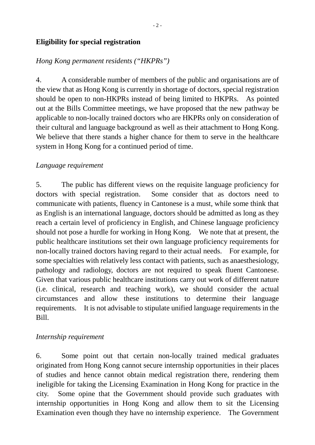### **Eligibility for special registration**

### *Hong Kong permanent residents ("HKPRs")*

4. A considerable number of members of the public and organisations are of the view that as Hong Kong is currently in shortage of doctors, special registration should be open to non-HKPRs instead of being limited to HKPRs. As pointed out at the Bills Committee meetings, we have proposed that the new pathway be applicable to non-locally trained doctors who are HKPRs only on consideration of their cultural and language background as well as their attachment to Hong Kong. We believe that there stands a higher chance for them to serve in the healthcare system in Hong Kong for a continued period of time.

### *Language requirement*

5. The public has different views on the requisite language proficiency for doctors with special registration. Some consider that as doctors need to communicate with patients, fluency in Cantonese is a must, while some think that as English is an international language, doctors should be admitted as long as they reach a certain level of proficiency in English, and Chinese language proficiency should not pose a hurdle for working in Hong Kong. We note that at present, the public healthcare institutions set their own language proficiency requirements for non-locally trained doctors having regard to their actual needs. For example, for some specialties with relatively less contact with patients, such as anaesthesiology, pathology and radiology, doctors are not required to speak fluent Cantonese. Given that various public healthcare institutions carry out work of different nature (i.e. clinical, research and teaching work), we should consider the actual circumstances and allow these institutions to determine their language requirements. It is not advisable to stipulate unified language requirements in the Bill.

### *Internship requirement*

6. Some point out that certain non-locally trained medical graduates originated from Hong Kong cannot secure internship opportunities in their places of studies and hence cannot obtain medical registration there, rendering them ineligible for taking the Licensing Examination in Hong Kong for practice in the city. Some opine that the Government should provide such graduates with internship opportunities in Hong Kong and allow them to sit the Licensing Examination even though they have no internship experience. The Government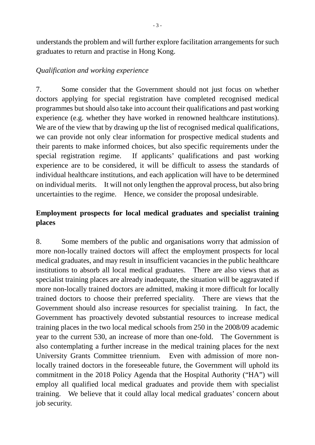understands the problem and will further explore facilitation arrangements for such graduates to return and practise in Hong Kong.

## *Qualification and working experience*

7. Some consider that the Government should not just focus on whether doctors applying for special registration have completed recognised medical programmes but should also take into account their qualifications and past working experience (e.g. whether they have worked in renowned healthcare institutions). We are of the view that by drawing up the list of recognised medical qualifications, we can provide not only clear information for prospective medical students and their parents to make informed choices, but also specific requirements under the special registration regime. If applicants' qualifications and past working experience are to be considered, it will be difficult to assess the standards of individual healthcare institutions, and each application will have to be determined on individual merits. It will not only lengthen the approval process, but also bring uncertainties to the regime. Hence, we consider the proposal undesirable.

# **Employment prospects for local medical graduates and specialist training places**

8. Some members of the public and organisations worry that admission of more non-locally trained doctors will affect the employment prospects for local medical graduates, and may result in insufficient vacancies in the public healthcare institutions to absorb all local medical graduates. There are also views that as specialist training places are already inadequate, the situation will be aggravated if more non-locally trained doctors are admitted, making it more difficult for locally trained doctors to choose their preferred speciality. There are views that the Government should also increase resources for specialist training. In fact, the Government has proactively devoted substantial resources to increase medical training places in the two local medical schools from 250 in the 2008/09 academic year to the current 530, an increase of more than one-fold. The Government is also contemplating a further increase in the medical training places for the next University Grants Committee triennium. Even with admission of more nonlocally trained doctors in the foreseeable future, the Government will uphold its commitment in the 2018 Policy Agenda that the Hospital Authority ("HA") will employ all qualified local medical graduates and provide them with specialist training. We believe that it could allay local medical graduates' concern about job security.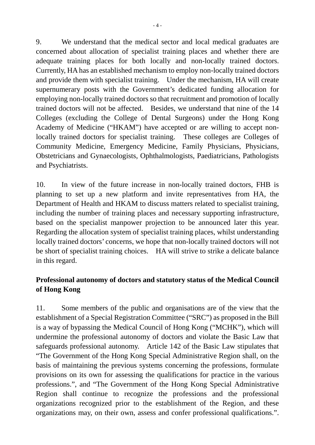9. We understand that the medical sector and local medical graduates are concerned about allocation of specialist training places and whether there are adequate training places for both locally and non-locally trained doctors. Currently, HA has an established mechanism to employ non-locally trained doctors and provide them with specialist training. Under the mechanism, HA will create supernumerary posts with the Government's dedicated funding allocation for employing non-locally trained doctors so that recruitment and promotion of locally trained doctors will not be affected. Besides, we understand that nine of the 14 Colleges (excluding the College of Dental Surgeons) under the Hong Kong Academy of Medicine ("HKAM") have accepted or are willing to accept nonlocally trained doctors for specialist training. These colleges are Colleges of Community Medicine, Emergency Medicine, Family Physicians, Physicians, Obstetricians and Gynaecologists, Ophthalmologists, Paediatricians, Pathologists and Psychiatrists.

10. In view of the future increase in non-locally trained doctors, FHB is planning to set up a new platform and invite representatives from HA, the Department of Health and HKAM to discuss matters related to specialist training, including the number of training places and necessary supporting infrastructure, based on the specialist manpower projection to be announced later this year. Regarding the allocation system of specialist training places, whilst understanding locally trained doctors' concerns, we hope that non-locally trained doctors will not be short of specialist training choices. HA will strive to strike a delicate balance in this regard.

# **Professional autonomy of doctors and statutory status of the Medical Council of Hong Kong**

11. Some members of the public and organisations are of the view that the establishment of a Special Registration Committee ("SRC") as proposed in the Bill is a way of bypassing the Medical Council of Hong Kong ("MCHK"), which will undermine the professional autonomy of doctors and violate the Basic Law that safeguards professional autonomy. Article 142 of the Basic Law stipulates that "The Government of the Hong Kong Special Administrative Region shall, on the basis of maintaining the previous systems concerning the professions, formulate provisions on its own for assessing the qualifications for practice in the various professions.", and "The Government of the Hong Kong Special Administrative Region shall continue to recognize the professions and the professional organizations recognized prior to the establishment of the Region, and these organizations may, on their own, assess and confer professional qualifications.".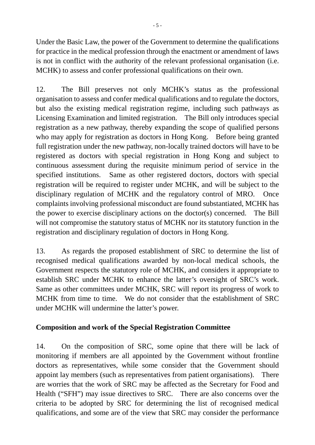Under the Basic Law, the power of the Government to determine the qualifications for practice in the medical profession through the enactment or amendment of laws is not in conflict with the authority of the relevant professional organisation (i.e. MCHK) to assess and confer professional qualifications on their own.

12. The Bill preserves not only MCHK's status as the professional organisation to assess and confer medical qualifications and to regulate the doctors, but also the existing medical registration regime, including such pathways as Licensing Examination and limited registration. The Bill only introduces special registration as a new pathway, thereby expanding the scope of qualified persons who may apply for registration as doctors in Hong Kong. Before being granted full registration under the new pathway, non-locally trained doctors will have to be registered as doctors with special registration in Hong Kong and subject to continuous assessment during the requisite minimum period of service in the specified institutions. Same as other registered doctors, doctors with special registration will be required to register under MCHK, and will be subject to the disciplinary regulation of MCHK and the regulatory control of MRO. Once complaints involving professional misconduct are found substantiated, MCHK has the power to exercise disciplinary actions on the doctor(s) concerned. The Bill will not compromise the statutory status of MCHK nor its statutory function in the registration and disciplinary regulation of doctors in Hong Kong.

13. As regards the proposed establishment of SRC to determine the list of recognised medical qualifications awarded by non-local medical schools, the Government respects the statutory role of MCHK, and considers it appropriate to establish SRC under MCHK to enhance the latter's oversight of SRC's work. Same as other committees under MCHK, SRC will report its progress of work to MCHK from time to time. We do not consider that the establishment of SRC under MCHK will undermine the latter's power.

## **Composition and work of the Special Registration Committee**

14. On the composition of SRC, some opine that there will be lack of monitoring if members are all appointed by the Government without frontline doctors as representatives, while some consider that the Government should appoint lay members (such as representatives from patient organisations). There are worries that the work of SRC may be affected as the Secretary for Food and Health ("SFH") may issue directives to SRC. There are also concerns over the criteria to be adopted by SRC for determining the list of recognised medical qualifications, and some are of the view that SRC may consider the performance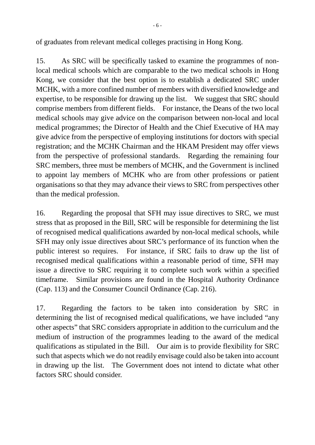of graduates from relevant medical colleges practising in Hong Kong.

15. As SRC will be specifically tasked to examine the programmes of nonlocal medical schools which are comparable to the two medical schools in Hong Kong, we consider that the best option is to establish a dedicated SRC under MCHK, with a more confined number of members with diversified knowledge and expertise, to be responsible for drawing up the list. We suggest that SRC should comprise members from different fields. For instance, the Deans of the two local medical schools may give advice on the comparison between non-local and local medical programmes; the Director of Health and the Chief Executive of HA may give advice from the perspective of employing institutions for doctors with special registration; and the MCHK Chairman and the HKAM President may offer views from the perspective of professional standards. Regarding the remaining four SRC members, three must be members of MCHK, and the Government is inclined to appoint lay members of MCHK who are from other professions or patient organisations so that they may advance their views to SRC from perspectives other than the medical profession.

16. Regarding the proposal that SFH may issue directives to SRC, we must stress that as proposed in the Bill, SRC will be responsible for determining the list of recognised medical qualifications awarded by non-local medical schools, while SFH may only issue directives about SRC's performance of its function when the public interest so requires. For instance, if SRC fails to draw up the list of recognised medical qualifications within a reasonable period of time, SFH may issue a directive to SRC requiring it to complete such work within a specified timeframe. Similar provisions are found in the Hospital Authority Ordinance (Cap. 113) and the Consumer Council Ordinance (Cap. 216).

17. Regarding the factors to be taken into consideration by SRC in determining the list of recognised medical qualifications, we have included "any other aspects" that SRC considers appropriate in addition to the curriculum and the medium of instruction of the programmes leading to the award of the medical qualifications as stipulated in the Bill. Our aim is to provide flexibility for SRC such that aspects which we do not readily envisage could also be taken into account in drawing up the list. The Government does not intend to dictate what other factors SRC should consider.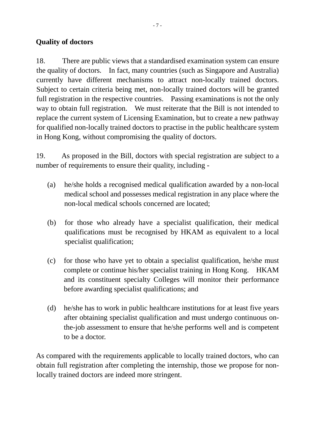## **Quality of doctors**

18. There are public views that a standardised examination system can ensure the quality of doctors. In fact, many countries (such as Singapore and Australia) currently have different mechanisms to attract non-locally trained doctors. Subject to certain criteria being met, non-locally trained doctors will be granted full registration in the respective countries. Passing examinations is not the only way to obtain full registration. We must reiterate that the Bill is not intended to replace the current system of Licensing Examination, but to create a new pathway for qualified non-locally trained doctors to practise in the public healthcare system in Hong Kong, without compromising the quality of doctors.

19. As proposed in the Bill, doctors with special registration are subject to a number of requirements to ensure their quality, including -

- (a) he/she holds a recognised medical qualification awarded by a non-local medical school and possesses medical registration in any place where the non-local medical schools concerned are located;
- (b) for those who already have a specialist qualification, their medical qualifications must be recognised by HKAM as equivalent to a local specialist qualification;
- (c) for those who have yet to obtain a specialist qualification, he/she must complete or continue his/her specialist training in Hong Kong. HKAM and its constituent specialty Colleges will monitor their performance before awarding specialist qualifications; and
- (d) he/she has to work in public healthcare institutions for at least five years after obtaining specialist qualification and must undergo continuous onthe-job assessment to ensure that he/she performs well and is competent to be a doctor.

As compared with the requirements applicable to locally trained doctors, who can obtain full registration after completing the internship, those we propose for nonlocally trained doctors are indeed more stringent.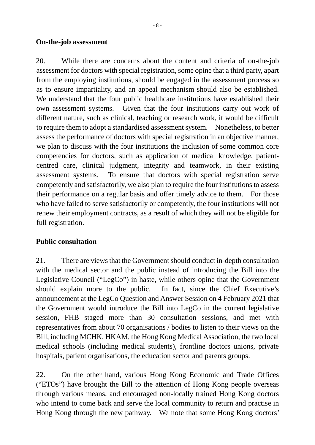### **On-the-job assessment**

20. While there are concerns about the content and criteria of on-the-job assessment for doctors with special registration, some opine that a third party, apart from the employing institutions, should be engaged in the assessment process so as to ensure impartiality, and an appeal mechanism should also be established. We understand that the four public healthcare institutions have established their own assessment systems. Given that the four institutions carry out work of different nature, such as clinical, teaching or research work, it would be difficult to require them to adopt a standardised assessment system. Nonetheless, to better assess the performance of doctors with special registration in an objective manner, we plan to discuss with the four institutions the inclusion of some common core competencies for doctors, such as application of medical knowledge, patientcentred care, clinical judgment, integrity and teamwork, in their existing assessment systems. To ensure that doctors with special registration serve competently and satisfactorily, we also plan to require the four institutions to assess their performance on a regular basis and offer timely advice to them. For those who have failed to serve satisfactorily or competently, the four institutions will not renew their employment contracts, as a result of which they will not be eligible for full registration.

## **Public consultation**

21. There are viewsthat the Government should conduct in-depth consultation with the medical sector and the public instead of introducing the Bill into the Legislative Council ("LegCo") in haste, while others opine that the Government should explain more to the public. In fact, since the Chief Executive's announcement at the LegCo Question and Answer Session on 4 February 2021 that the Government would introduce the Bill into LegCo in the current legislative session, FHB staged more than 30 consultation sessions, and met with representatives from about 70 organisations / bodies to listen to their views on the Bill, including MCHK, HKAM, the Hong Kong Medical Association, the two local medical schools (including medical students), frontline doctors unions, private hospitals, patient organisations, the education sector and parents groups.

22. On the other hand, various Hong Kong Economic and Trade Offices ("ETOs") have brought the Bill to the attention of Hong Kong people overseas through various means, and encouraged non-locally trained Hong Kong doctors who intend to come back and serve the local community to return and practise in Hong Kong through the new pathway. We note that some Hong Kong doctors'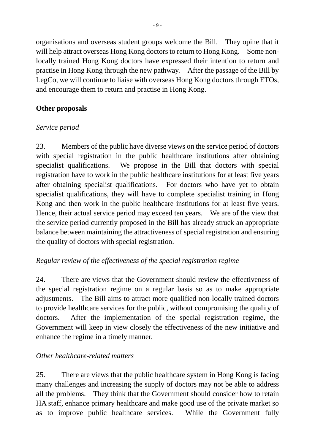organisations and overseas student groups welcome the Bill. They opine that it will help attract overseas Hong Kong doctors to return to Hong Kong. Some nonlocally trained Hong Kong doctors have expressed their intention to return and practise in Hong Kong through the new pathway. After the passage of the Bill by LegCo, we will continue to liaise with overseas Hong Kong doctors through ETOs, and encourage them to return and practise in Hong Kong.

# **Other proposals**

# *Service period*

23. Members of the public have diverse views on the service period of doctors with special registration in the public healthcare institutions after obtaining specialist qualifications. We propose in the Bill that doctors with special registration have to work in the public healthcare institutions for at least five years after obtaining specialist qualifications. For doctors who have yet to obtain specialist qualifications, they will have to complete specialist training in Hong Kong and then work in the public healthcare institutions for at least five years. Hence, their actual service period may exceed ten years. We are of the view that the service period currently proposed in the Bill has already struck an appropriate balance between maintaining the attractiveness of special registration and ensuring the quality of doctors with special registration.

# *Regular review of the effectiveness of the special registration regime*

24. There are views that the Government should review the effectiveness of the special registration regime on a regular basis so as to make appropriate adjustments. The Bill aims to attract more qualified non-locally trained doctors to provide healthcare services for the public, without compromising the quality of doctors. After the implementation of the special registration regime, the Government will keep in view closely the effectiveness of the new initiative and enhance the regime in a timely manner.

## *Other healthcare-related matters*

25. There are views that the public healthcare system in Hong Kong is facing many challenges and increasing the supply of doctors may not be able to address all the problems. They think that the Government should consider how to retain HA staff, enhance primary healthcare and make good use of the private market so as to improve public healthcare services. While the Government fully